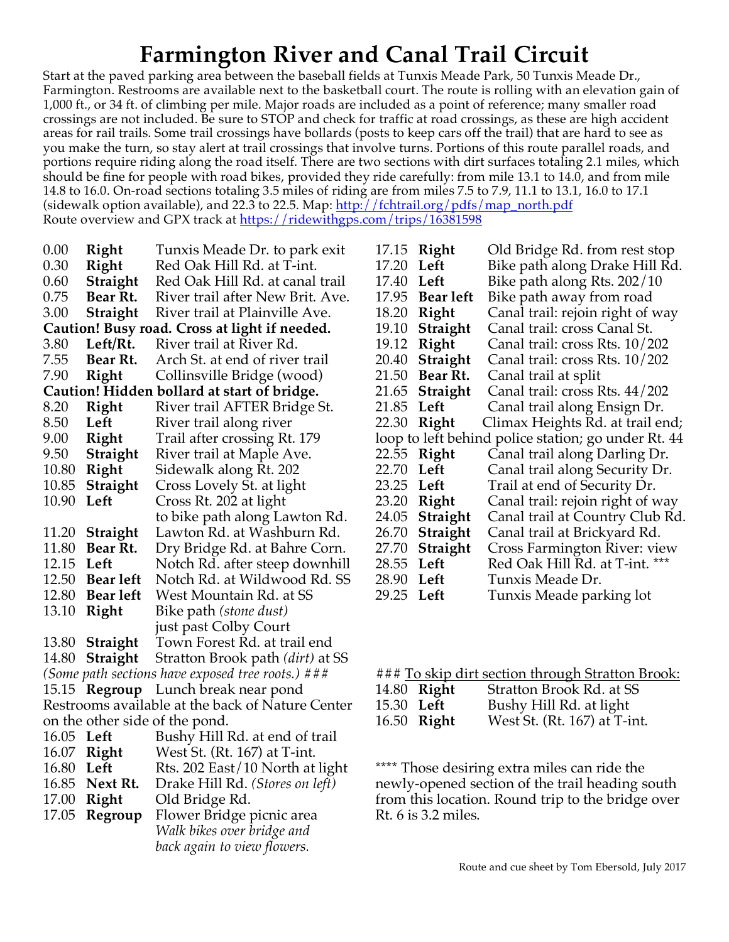## **Farmington River and Canal Trail Circuit**

Start at the paved parking area between the baseball fields at Tunxis Meade Park, 50 Tunxis Meade Dr., Farmington. Restrooms are available next to the basketball court. The route is rolling with an elevation gain of 1,000 ft., or 34 ft. of climbing per mile. Major roads are included as a point of reference; many smaller road crossings are not included. Be sure to STOP and check for traffic at road crossings, as these are high accident areas for rail trails. Some trail crossings have bollards (posts to keep cars off the trail) that are hard to see as you make the turn, so stay alert at trail crossings that involve turns. Portions of this route parallel roads, and portions require riding along the road itself. There are two sections with dirt surfaces totaling 2.1 miles, which should be fine for people with road bikes, provided they ride carefully: from mile 13.1 to 14.0, and from mile 14.8 to 16.0. On-road sections totaling 3.5 miles of riding are from miles 7.5 to 7.9, 11.1 to 13.1, 16.0 to 17.1 (sidewalk option available), and 22.3 to 22.5. Map:  $\frac{http://fchtrail.org/pdfs/map\_north.pdf}{http://fchtrail.org/pdfs/map\_north.pdf}$ Route overview and GPX track at https://ridewithgps.com/trips/16381598

| 0.00                                              | Right            | Tunxis Meade Dr. to park exit                 |  |  |
|---------------------------------------------------|------------------|-----------------------------------------------|--|--|
| 0.30                                              | Right            | Red Oak Hill Rd. at T-int.                    |  |  |
| 0.60                                              | Straight         | Red Oak Hill Rd. at canal trail               |  |  |
| 0.75                                              | Bear Rt.         | River trail after New Brit. Ave.              |  |  |
| 3.00                                              | Straight         | River trail at Plainville Ave.                |  |  |
|                                                   |                  | Caution! Busy road. Cross at light if needed. |  |  |
| 3.80                                              | Left/Rt.         | River trail at River Rd.                      |  |  |
| 7.55                                              | Bear Rt.         | Arch St. at end of river trail                |  |  |
| 7.90                                              | Right            | Collinsville Bridge (wood)                    |  |  |
|                                                   |                  | Caution! Hidden bollard at start of bridge.   |  |  |
| 8.20                                              | Right            | River trail AFTER Bridge St.                  |  |  |
| 8.50                                              | Left             | River trail along river                       |  |  |
| 9.00                                              | Right            | Trail after crossing Rt. 179                  |  |  |
| 9.50                                              | Straight         | River trail at Maple Ave.                     |  |  |
| 10.80                                             | Right            | Sidewalk along Rt. 202                        |  |  |
| 10.85                                             | Straight         | Cross Lovely St. at light                     |  |  |
| 10.90                                             | Left             | Cross Rt. 202 at light                        |  |  |
|                                                   |                  | to bike path along Lawton Rd.                 |  |  |
| 11.20                                             | Straight         | Lawton Rd. at Washburn Rd.                    |  |  |
| 11.80                                             | Bear Rt.         | Dry Bridge Rd. at Bahre Corn.                 |  |  |
| 12.15                                             | Left             | Notch Rd. after steep downhill                |  |  |
|                                                   | 12.50 Bear left  | Notch Rd. at Wildwood Rd. SS                  |  |  |
| 12.80                                             | <b>Bear left</b> | West Mountain Rd. at SS                       |  |  |
| 13.10                                             | Right            | Bike path (stone dust)                        |  |  |
|                                                   |                  | just past Colby Court                         |  |  |
| 13.80                                             | Straight         | Town Forest Rd. at trail end                  |  |  |
| 14.80                                             | Straight         | Stratton Brook path (dirt) at SS              |  |  |
| (Some path sections have exposed tree roots.) ### |                  |                                               |  |  |
| 15.15                                             | Regroup          | Lunch break near pond                         |  |  |
| Restrooms available at the back of Nature Center  |                  |                                               |  |  |
|                                                   |                  | on the other side of the pond.                |  |  |
| 16.05 Left                                        |                  | Bushy Hill Rd. at end of trail                |  |  |
| 16.07                                             | Right            | West St. (Rt. 167) at T-int.                  |  |  |
| 16.80 Left                                        |                  | Rts. 202 East/10 North at light               |  |  |
|                                                   | 16.85 Next Rt.   | Drake Hill Rd. (Stores on left)               |  |  |
| 17.00                                             | Right            | Old Bridge Rd.                                |  |  |
| 17.05                                             | Regroup          | Flower Bridge picnic area                     |  |  |
|                                                   |                  | Walk bikes over bridge and                    |  |  |
|                                                   |                  | back again to view flowers.                   |  |  |

| 17.15                                               | Right            | Old Bridge Rd. from rest stop    |  |  |
|-----------------------------------------------------|------------------|----------------------------------|--|--|
| 17.20                                               | Left             | Bike path along Drake Hill Rd.   |  |  |
| 17.40                                               | Left             | Bike path along Rts. 202/10      |  |  |
| 17.95                                               | <b>Bear left</b> | Bike path away from road         |  |  |
| 18.20                                               | Right            | Canal trail: rejoin right of way |  |  |
| 19.10                                               | Straight         | Canal trail: cross Canal St.     |  |  |
| 19.12                                               | Right            | Canal trail: cross Rts. 10/202   |  |  |
| 20.40                                               | Straight         | Canal trail: cross Rts. 10/202   |  |  |
| 21.50                                               | Bear Rt.         | Canal trail at split             |  |  |
| 21.65                                               | Straight         | Canal trail: cross Rts. 44/202   |  |  |
| 21.85                                               | Left             | Canal trail along Ensign Dr.     |  |  |
| 22.30                                               | Right            | Climax Heights Rd. at trail end; |  |  |
| loop to left behind police station; go under Rt. 44 |                  |                                  |  |  |
| 22.55                                               | Right            | Canal trail along Darling Dr.    |  |  |
| 22.70                                               | Left             | Canal trail along Security Dr.   |  |  |
| 23.25                                               | Left             | Trail at end of Security Dr.     |  |  |
| 23.20                                               | Right            | Canal trail: rejoin right of way |  |  |
| 24.05                                               | Straight         | Canal trail at Country Club Rd.  |  |  |
| 26.70                                               | Straight         | Canal trail at Brickyard Rd.     |  |  |
| 27.70                                               | Straight         | Cross Farmington River: view     |  |  |
| 28.55                                               | Left             | Red Oak Hill Rd. at T-int. ***   |  |  |
| 28.90                                               | Left             | Tunxis Meade Dr.                 |  |  |
| 29.25                                               | Left             | Tunxis Meade parking lot         |  |  |

|             | ### To skip dirt section through Stratton Brook: |
|-------------|--------------------------------------------------|
| 14.80 Right | Stratton Brook Rd. at SS                         |

|                   | $17.00$ Mgill | $U$ u alivit DIVVN Ini. al $U$ |
|-------------------|---------------|--------------------------------|
| 15.30 <b>Left</b> |               | Bushy Hill Rd. at light        |
|                   | 16.50 Right   | West St. (Rt. 167) at T-int.   |
|                   |               |                                |

\*\*\*\* Those desiring extra miles can ride the newly-opened section of the trail heading south from this location. Round trip to the bridge over Rt. 6 is 3.2 miles.